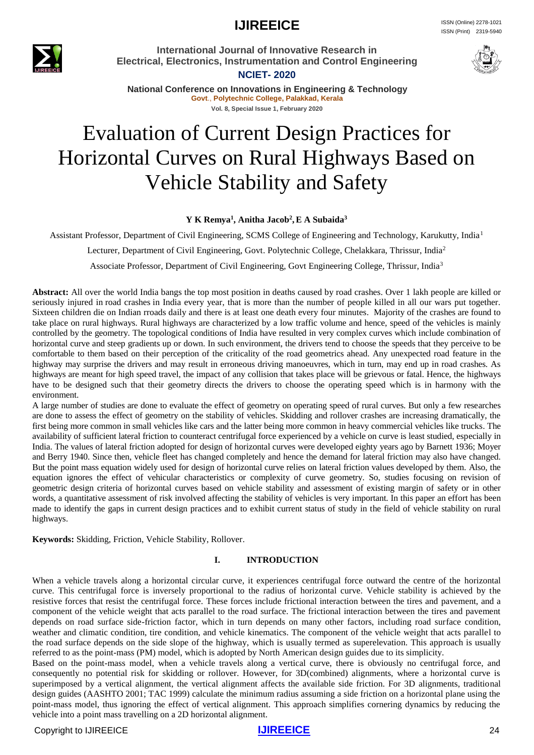**IJIREEICE ISSN** (Online) 2278-1021 ISSN (Print) 2319-5940



**International Journal of Innovative Research in Electrical, Electronics, Instrumentation and Control Engineering**

**NCIET- 2020**



**National Conference on Innovations in Engineering & Technology Govt**., **Polytechnic College, Palakkad, Kerala Vol. 8, Special Issue 1, February 2020**

# Evaluation of Current Design Practices for Horizontal Curves on Rural Highways Based on Vehicle Stability and Safety

#### **Y K Remya<sup>1</sup> , Anitha Jacob<sup>2</sup> ,E A Subaida<sup>3</sup>**

Assistant Professor, Department of Civil Engineering, SCMS College of Engineering and Technology, Karukutty, India<sup>1</sup>

Lecturer, Department of Civil Engineering, Govt. Polytechnic College, Chelakkara, Thrissur, India<sup>2</sup>

Associate Professor, Department of Civil Engineering, Govt Engineering College, Thrissur, India<sup>3</sup>

**Abstract:** All over the world India bangs the top most position in deaths caused by road crashes. Over 1 lakh people are killed or seriously injured in road crashes in India every year, that is more than the number of people killed in all our wars put together. Sixteen children die on Indian rroads daily and there is at least one death every four minutes. Majority of the crashes are found to take place on rural highways. Rural highways are characterized by a low traffic volume and hence, speed of the vehicles is mainly controlled by the geometry. The topological conditions of India have resulted in very complex curves which include combination of horizontal curve and steep gradients up or down. In such environment, the drivers tend to choose the speeds that they perceive to be comfortable to them based on their perception of the criticality of the road geometrics ahead. Any unexpected road feature in the highway may surprise the drivers and may result in erroneous driving manoeuvres, which in turn, may end up in road crashes. As highways are meant for high speed travel, the impact of any collision that takes place will be grievous or fatal. Hence, the highways have to be designed such that their geometry directs the drivers to choose the operating speed which is in harmony with the environment.

A large number of studies are done to evaluate the effect of geometry on operating speed of rural curves. But only a few researches are done to assess the effect of geometry on the stability of vehicles. Skidding and rollover crashes are increasing dramatically, the first being more common in small vehicles like cars and the latter being more common in heavy commercial vehicles like trucks. The availability of sufficient lateral friction to counteract centrifugal force experienced by a vehicle on curve is least studied, especially in India. The values of lateral friction adopted for design of horizontal curves were developed eighty years ago by Barnett 1936; Moyer and Berry 1940. Since then, vehicle fleet has changed completely and hence the demand for lateral friction may also have changed. But the point mass equation widely used for design of horizontal curve relies on lateral friction values developed by them. Also, the equation ignores the effect of vehicular characteristics or complexity of curve geometry. So, studies focusing on revision of geometric design criteria of horizontal curves based on vehicle stability and assessment of existing margin of safety or in other words, a quantitative assessment of risk involved affecting the stability of vehicles is very important. In this paper an effort has been made to identify the gaps in current design practices and to exhibit current status of study in the field of vehicle stability on rural highways.

**Keywords:** Skidding, Friction, Vehicle Stability, Rollover.

#### **I. INTRODUCTION**

When a vehicle travels along a horizontal circular curve, it experiences centrifugal force outward the centre of the horizontal curve. This centrifugal force is inversely proportional to the radius of horizontal curve. Vehicle stability is achieved by the resistive forces that resist the centrifugal force. These forces include frictional interaction between the tires and pavement, and a component of the vehicle weight that acts parallel to the road surface. The frictional interaction between the tires and pavement depends on road surface side-friction factor, which in turn depends on many other factors, including road surface condition, weather and climatic condition, tire condition, and vehicle kinematics. The component of the vehicle weight that acts parallel to the road surface depends on the side slope of the highway, which is usually termed as superelevation. This approach is usually referred to as the point-mass (PM) model, which is adopted by North American design guides due to its simplicity.

Based on the point-mass model, when a vehicle travels along a vertical curve, there is obviously no centrifugal force, and consequently no potential risk for skidding or rollover. However, for 3D(combined) alignments, where a horizontal curve is superimposed by a vertical alignment, the vertical alignment affects the available side friction. For 3D alignments, traditional design guides (AASHTO 2001; TAC 1999) calculate the minimum radius assuming a side friction on a horizontal plane using the point-mass model, thus ignoring the effect of vertical alignment. This approach simplifies cornering dynamics by reducing the vehicle into a point mass travelling on a 2D horizontal alignment.

#### Copyright to IJIREEICE **[IJIREEICE](https://ijireeice.com/)** 24

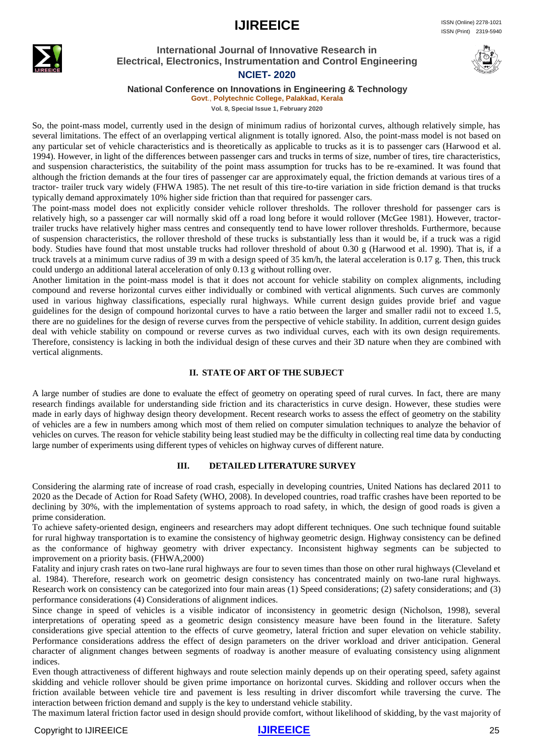

#### **International Journal of Innovative Research in Electrical, Electronics, Instrumentation and Control Engineering NCIET- 2020**



# **National Conference on Innovations in Engineering & Technology**

### **Govt**., **Polytechnic College, Palakkad, Kerala**

**Vol. 8, Special Issue 1, February 2020**

So, the point-mass model, currently used in the design of minimum radius of horizontal curves, although relatively simple, has several limitations. The effect of an overlapping vertical alignment is totally ignored. Also, the point-mass model is not based on any particular set of vehicle characteristics and is theoretically as applicable to trucks as it is to passenger cars (Harwood et al. 1994). However, in light of the differences between passenger cars and trucks in terms of size, number of tires, tire characteristics, and suspension characteristics, the suitability of the point mass assumption for trucks has to be re-examined. It was found that although the friction demands at the four tires of passenger car are approximately equal, the friction demands at various tires of a tractor- trailer truck vary widely (FHWA 1985). The net result of this tire-to-tire variation in side friction demand is that trucks typically demand approximately 10% higher side friction than that required for passenger cars.

The point-mass model does not explicitly consider vehicle rollover thresholds. The rollover threshold for passenger cars is relatively high, so a passenger car will normally skid off a road long before it would rollover (McGee 1981). However, tractortrailer trucks have relatively higher mass centres and consequently tend to have lower rollover thresholds. Furthermore, because of suspension characteristics, the rollover threshold of these trucks is substantially less than it would be, if a truck was a rigid body. Studies have found that most unstable trucks had rollover threshold of about 0.30 g (Harwood et al. 1990). That is, if a truck travels at a minimum curve radius of 39 m with a design speed of 35 km/h, the lateral acceleration is 0.17 g. Then, this truck could undergo an additional lateral acceleration of only 0.13 g without rolling over.

Another limitation in the point-mass model is that it does not account for vehicle stability on complex alignments, including compound and reverse horizontal curves either individually or combined with vertical alignments. Such curves are commonly used in various highway classifications, especially rural highways. While current design guides provide brief and vague guidelines for the design of compound horizontal curves to have a ratio between the larger and smaller radii not to exceed 1.5, there are no guidelines for the design of reverse curves from the perspective of vehicle stability. In addition, current design guides deal with vehicle stability on compound or reverse curves as two individual curves, each with its own design requirements. Therefore, consistency is lacking in both the individual design of these curves and their 3D nature when they are combined with vertical alignments.

#### **II. STATE OF ART OF THE SUBJECT**

A large number of studies are done to evaluate the effect of geometry on operating speed of rural curves. In fact, there are many research findings available for understanding side friction and its characteristics in curve design. However, these studies were made in early days of highway design theory development. Recent research works to assess the effect of geometry on the stability of vehicles are a few in numbers among which most of them relied on computer simulation techniques to analyze the behavior of vehicles on curves. The reason for vehicle stability being least studied may be the difficulty in collecting real time data by conducting large number of experiments using different types of vehicles on highway curves of different nature.

#### **III. DETAILED LITERATURE SURVEY**

Considering the alarming rate of increase of road crash, especially in developing countries, United Nations has declared 2011 to 2020 as the Decade of Action for Road Safety (WHO, 2008). In developed countries, road traffic crashes have been reported to be declining by 30%, with the implementation of systems approach to road safety, in which, the design of good roads is given a prime consideration.

To achieve safety-oriented design, engineers and researchers may adopt different techniques. One such technique found suitable for rural highway transportation is to examine the consistency of highway geometric design. Highway consistency can be defined as the conformance of highway geometry with driver expectancy. Inconsistent highway segments can be subjected to improvement on a priority basis. (FHWA,2000)

Fatality and injury crash rates on two-lane rural highways are four to seven times than those on other rural highways (Cleveland et al. 1984). Therefore, research work on geometric design consistency has concentrated mainly on two-lane rural highways. Research work on consistency can be categorized into four main areas (1) Speed considerations; (2) safety considerations; and (3) performance considerations (4) Considerations of alignment indices.

Since change in speed of vehicles is a visible indicator of inconsistency in geometric design (Nicholson, 1998), several interpretations of operating speed as a geometric design consistency measure have been found in the literature. Safety considerations give special attention to the effects of curve geometry, lateral friction and super elevation on vehicle stability. Performance considerations address the effect of design parameters on the driver workload and driver anticipation. General character of alignment changes between segments of roadway is another measure of evaluating consistency using alignment indices.

Even though attractiveness of different highways and route selection mainly depends up on their operating speed, safety against skidding and vehicle rollover should be given prime importance on horizontal curves. Skidding and rollover occurs when the friction available between vehicle tire and pavement is less resulting in driver discomfort while traversing the curve. The interaction between friction demand and supply is the key to understand vehicle stability.

The maximum lateral friction factor used in design should provide comfort, without likelihood of skidding, by the vast majority of

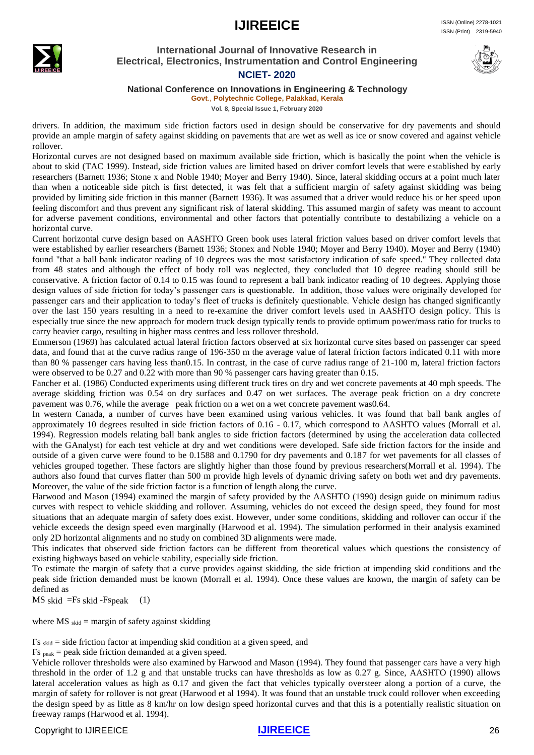

## **International Journal of Innovative Research in Electrical, Electronics, Instrumentation and Control Engineering**



# **NCIET- 2020**

#### **National Conference on Innovations in Engineering & Technology**

**Govt**., **Polytechnic College, Palakkad, Kerala Vol. 8, Special Issue 1, February 2020**

drivers. In addition, the maximum side friction factors used in design should be conservative for dry pavements and should provide an ample margin of safety against skidding on pavements that are wet as well as ice or snow covered and against vehicle rollover.

Horizontal curves are not designed based on maximum available side friction, which is basically the point when the vehicle is about to skid (TAC 1999). Instead, side friction values are limited based on driver comfort levels that were established by early researchers (Barnett 1936; Stone x and Noble 1940; Moyer and Berry 1940). Since, lateral skidding occurs at a point much later than when a noticeable side pitch is first detected, it was felt that a sufficient margin of safety against skidding was being provided by limiting side friction in this manner (Barnett 1936). It was assumed that a driver would reduce his or her speed upon feeling discomfort and thus prevent any significant risk of lateral skidding. This assumed margin of safety was meant to account for adverse pavement conditions, environmental and other factors that potentially contribute to destabilizing a vehicle on a horizontal curve.

Current horizontal curve design based on AASHTO Green book uses lateral friction values based on driver comfort levels that were established by earlier researchers (Barnett 1936; Stonex and Noble 1940; Moyer and Berry 1940). Moyer and Berry (1940) found "that a ball bank indicator reading of 10 degrees was the most satisfactory indication of safe speed." They collected data from 48 states and although the effect of body roll was neglected, they concluded that 10 degree reading should still be conservative. A friction factor of 0.14 to 0.15 was found to represent a ball bank indicator reading of 10 degrees. Applying those design values of side friction for today's passenger cars is questionable. In addition, those values were originally developed for passenger cars and their application to today's fleet of trucks is definitely questionable. Vehicle design has changed significantly over the last 150 years resulting in a need to re-examine the driver comfort levels used in AASHTO design policy. This is especially true since the new approach for modern truck design typically tends to provide optimum power/mass ratio for trucks to carry heavier cargo, resulting in higher mass centres and less rollover threshold.

Emmerson (1969) has calculated actual lateral friction factors observed at six horizontal curve sites based on passenger car speed data, and found that at the curve radius range of 196-350 m the average value of lateral friction factors indicated 0.11 with more than 80 % passenger cars having less than0.15. In contrast, in the case of curve radius range of 21-100 m, lateral friction factors were observed to be 0.27 and 0.22 with more than 90 % passenger cars having greater than 0.15.

Fancher et al. (1986) Conducted experiments using different truck tires on dry and wet concrete pavements at 40 mph speeds. The average skidding friction was 0.54 on dry surfaces and 0.47 on wet surfaces. The average peak friction on a dry concrete pavement was 0.76, while the average peak friction on a wet on a wet concrete pavement was0.64.

In western Canada, a number of curves have been examined using various vehicles. It was found that ball bank angles of approximately 10 degrees resulted in side friction factors of 0.16 - 0.17, which correspond to AASHTO values (Morrall et al. 1994). Regression models relating ball bank angles to side friction factors (determined by using the acceleration data collected with the GAnalyst) for each test vehicle at dry and wet conditions were developed. Safe side friction factors for the inside and outside of a given curve were found to be 0.1588 and 0.1790 for dry pavements and 0.187 for wet pavements for all classes of vehicles grouped together. These factors are slightly higher than those found by previous researchers(Morrall et al. 1994). The authors also found that curves flatter than 500 m provide high levels of dynamic driving safety on both wet and dry pavements. Moreover, the value of the side friction factor is a function of length along the curve.

Harwood and Mason (1994) examined the margin of safety provided by the AASHTO (1990) design guide on minimum radius curves with respect to vehicle skidding and rollover. Assuming, vehicles do not exceed the design speed, they found for most situations that an adequate margin of safety does exist. However, under some conditions, skidding and rollover can occur if the vehicle exceeds the design speed even marginally (Harwood et al. 1994). The simulation performed in their analysis examined only 2D horizontal alignments and no study on combined 3D alignments were made.

This indicates that observed side friction factors can be different from theoretical values which questions the consistency of existing highways based on vehicle stability, especially side friction.

To estimate the margin of safety that a curve provides against skidding, the side friction at impending skid conditions and the peak side friction demanded must be known (Morrall et al. 1994). Once these values are known, the margin of safety can be defined as

 $MS$  skid =Fs skid -Fspeak (1)

where  $\overline{MS}$ <sub>skid</sub> = margin of safety against skidding

Fs skid = side friction factor at impending skid condition at a given speed, and

 $Fs_{peak} = peak$  side friction demanded at a given speed.

Vehicle rollover thresholds were also examined by Harwood and Mason (1994). They found that passenger cars have a very high threshold in the order of 1.2 g and that unstable trucks can have thresholds as low as 0.27 g. Since, AASHTO (1990) allows lateral acceleration values as high as 0.17 and given the fact that vehicles typically oversteer along a portion of a curve, the margin of safety for rollover is not great (Harwood et al 1994). It was found that an unstable truck could rollover when exceeding the design speed by as little as 8 km/hr on low design speed horizontal curves and that this is a potentially realistic situation on freeway ramps (Harwood et al. 1994).

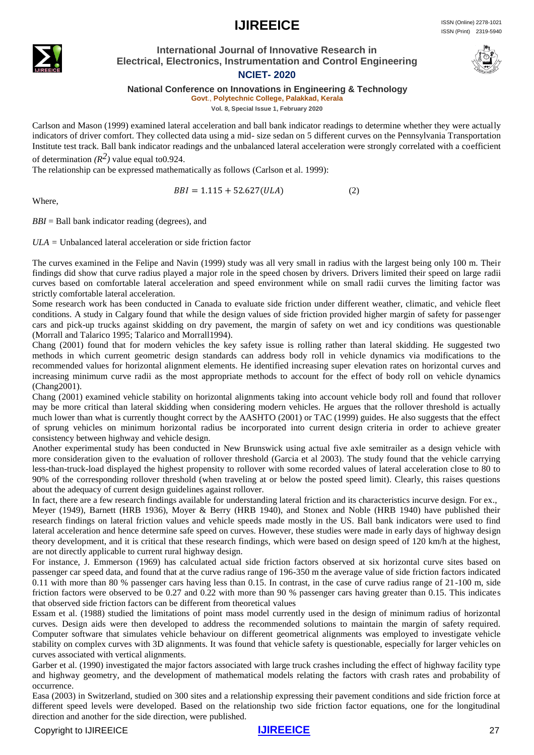

#### **International Journal of Innovative Research in Electrical, Electronics, Instrumentation and Control Engineering NCIET- 2020**



**National Conference on Innovations in Engineering & Technology**

**Govt**., **Polytechnic College, Palakkad, Kerala**

**Vol. 8, Special Issue 1, February 2020**

Carlson and Mason (1999) examined lateral acceleration and ball bank indicator readings to determine whether they were actually indicators of driver comfort. They collected data using a mid- size sedan on 5 different curves on the Pennsylvania Transportation Institute test track. Ball bank indicator readings and the unbalanced lateral acceleration were strongly correlated with a coefficient of determination  $(R^2)$  value equal to 0.924.

The relationship can be expressed mathematically as follows (Carlson et al. 1999):

 $BBI = 1.115 + 52.627(ULA)$  (2)

Where,

*BBI* = Ball bank indicator reading (degrees), and

*ULA =* Unbalanced lateral acceleration or side friction factor

The curves examined in the Felipe and Navin (1999) study was all very small in radius with the largest being only 100 m. Their findings did show that curve radius played a major role in the speed chosen by drivers. Drivers limited their speed on large radii curves based on comfortable lateral acceleration and speed environment while on small radii curves the limiting factor was strictly comfortable lateral acceleration.

Some research work has been conducted in Canada to evaluate side friction under different weather, climatic, and vehicle fleet conditions. A study in Calgary found that while the design values of side friction provided higher margin of safety for passenger cars and pick-up trucks against skidding on dry pavement, the margin of safety on wet and icy conditions was questionable (Morrall and Talarico 1995; Talarico and Morrall1994).

Chang (2001) found that for modern vehicles the key safety issue is rolling rather than lateral skidding. He suggested two methods in which current geometric design standards can address body roll in vehicle dynamics via modifications to the recommended values for horizontal alignment elements. He identified increasing super elevation rates on horizontal curves and increasing minimum curve radii as the most appropriate methods to account for the effect of body roll on vehicle dynamics (Chang2001).

Chang (2001) examined vehicle stability on horizontal alignments taking into account vehicle body roll and found that rollover may be more critical than lateral skidding when considering modern vehicles. He argues that the rollover threshold is actually much lower than what is currently thought correct by the AASHTO (2001) or TAC (1999) guides. He also suggests that the effect of sprung vehicles on minimum horizontal radius be incorporated into current design criteria in order to achieve greater consistency between highway and vehicle design.

Another experimental study has been conducted in New Brunswick using actual five axle semitrailer as a design vehicle with more consideration given to the evaluation of rollover threshold (Garcia et al 2003). The study found that the vehicle carrying less-than-truck-load displayed the highest propensity to rollover with some recorded values of lateral acceleration close to 80 to 90% of the corresponding rollover threshold (when traveling at or below the posted speed limit). Clearly, this raises questions about the adequacy of current design guidelines against rollover.

In fact, there are a few research findings available for understanding lateral friction and its characteristics incurve design. For ex., Meyer (1949), Barnett (HRB 1936), Moyer & Berry (HRB 1940), and Stonex and Noble (HRB 1940) have published their research findings on lateral friction values and vehicle speeds made mostly in the US. Ball bank indicators were used to find lateral acceleration and hence determine safe speed on curves. However, these studies were made in early days of highway design theory development, and it is critical that these research findings, which were based on design speed of 120 km/h at the highest, are not directly applicable to current rural highway design.

For instance, J. Emmerson (1969) has calculated actual side friction factors observed at six horizontal curve sites based on passenger car speed data, and found that at the curve radius range of 196-350 m the average value of side friction factors indicated 0.11 with more than 80 % passenger cars having less than 0.15. In contrast, in the case of curve radius range of 21-100 m, side friction factors were observed to be 0.27 and 0.22 with more than 90 % passenger cars having greater than 0.15. This indicates that observed side friction factors can be different from theoretical values

Essam et al. (1988) studied the limitations of point mass model currently used in the design of minimum radius of horizontal curves. Design aids were then developed to address the recommended solutions to maintain the margin of safety required. Computer software that simulates vehicle behaviour on different geometrical alignments was employed to investigate vehicle stability on complex curves with 3D alignments. It was found that vehicle safety is questionable, especially for larger vehicles on curves associated with vertical alignments.

Garber et al. (1990) investigated the major factors associated with large truck crashes including the effect of highway facility type and highway geometry, and the development of mathematical models relating the factors with crash rates and probability of occurrence.

Easa (2003) in Switzerland, studied on 300 sites and a relationship expressing their pavement conditions and side friction force at different speed levels were developed. Based on the relationship two side friction factor equations, one for the longitudinal direction and another for the side direction, were published.

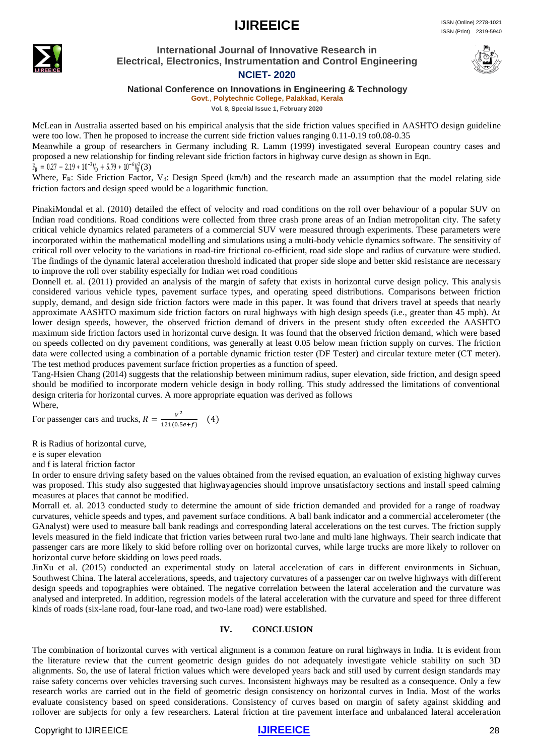

#### **International Journal of Innovative Research in Electrical, Electronics, Instrumentation and Control Engineering NCIET- 2020**



## **National Conference on Innovations in Engineering & Technology**

**Govt**., **Polytechnic College, Palakkad, Kerala**

**Vol. 8, Special Issue 1, February 2020**

McLean in Australia asserted based on his empirical analysis that the side friction values specified in AASHTO design guideline were too low. Then he proposed to increase the current side friction values ranging 0.11-0.19 to0.08-0.35

Meanwhile a group of researchers in Germany including R. Lamm (1999) investigated several European country cases and proposed a new relationship for finding relevant side friction factors in highway curve design as shown in Eqn.

#### $F_R = 0.27 - 2.19 * 10^{-3}V_D + 5.79 * 10^{-6}V_D^2(3)$

Where, F<sub>R</sub>: Side Friction Factor, V<sub>d</sub>: Design Speed (km/h) and the research made an assumption that the model relating side friction factors and design speed would be a logarithmic function.

PinakiMondal et al. (2010) detailed the effect of velocity and road conditions on the roll over behaviour of a popular SUV on Indian road conditions. Road conditions were collected from three crash prone areas of an Indian metropolitan city. The safety critical vehicle dynamics related parameters of a commercial SUV were measured through experiments. These parameters were incorporated within the mathematical modelling and simulations using a multi-body vehicle dynamics software. The sensitivity of critical roll over velocity to the variations in road-tire frictional co-efficient, road side slope and radius of curvature were studied. The findings of the dynamic lateral acceleration threshold indicated that proper side slope and better skid resistance are necessary to improve the roll over stability especially for Indian wet road conditions

Donnell et. al. (2011) provided an analysis of the margin of safety that exists in horizontal curve design policy. This analysis considered various vehicle types, pavement surface types, and operating speed distributions. Comparisons between friction supply, demand, and design side friction factors were made in this paper. It was found that drivers travel at speeds that nearly approximate AASHTO maximum side friction factors on rural highways with high design speeds (i.e., greater than 45 mph). At lower design speeds, however, the observed friction demand of drivers in the present study often exceeded the AASHTO maximum side friction factors used in horizontal curve design. It was found that the observed friction demand, which were based on speeds collected on dry pavement conditions, was generally at least 0.05 below mean friction supply on curves. The friction data were collected using a combination of a portable dynamic friction tester (DF Tester) and circular texture meter (CT meter). The test method produces pavement surface friction properties as a function of speed.

Tang-Hsien Chang (2014) suggests that the relationship between minimum radius, super elevation, side friction, and design speed should be modified to incorporate modern vehicle design in body rolling. This study addressed the limitations of conventional design criteria for horizontal curves. A more appropriate equation was derived as follows Where,

For passenger cars and trucks,  $R = \frac{v^2}{124.05}$  $\frac{v}{121(0.5e+f)}$  (4)

R is Radius of horizontal curve,

e is super elevation

and f is lateral friction factor

In order to ensure driving safety based on the values obtained from the revised equation, an evaluation of existing highway curves was proposed. This study also suggested that highwayagencies should improve unsatisfactory sections and install speed calming measures at places that cannot be modified.

Morrall et. al. 2013 conducted study to determine the amount of side friction demanded and provided for a range of roadway curvatures, vehicle speeds and types, and pavement surface conditions. A ball bank indicator and a commercial accelerometer (the GAnalyst) were used to measure ball bank readings and corresponding lateral accelerations on the test curves. The friction supply levels measured in the field indicate that friction varies between rural two lane and multi-lane highways. Their search indicate that passenger cars are more likely to skid before rolling over on horizontal curves, while large trucks are more likely to rollover on horizontal curve before skidding on lows peed roads.

JinXu et al. (2015) conducted an experimental study on lateral acceleration of cars in different environments in Sichuan, Southwest China. The lateral accelerations, speeds, and trajectory curvatures of a passenger car on twelve highways with different design speeds and topographies were obtained. The negative correlation between the lateral acceleration and the curvature was analysed and interpreted. In addition, regression models of the lateral acceleration with the curvature and speed for three different kinds of roads (six-lane road, four-lane road, and two-lane road) were established.

#### **IV. CONCLUSION**

The combination of horizontal curves with vertical alignment is a common feature on rural highways in India. It is evident from the literature review that the current geometric design guides do not adequately investigate vehicle stability on such 3D alignments. So, the use of lateral friction values which were developed years back and still used by current design standards may raise safety concerns over vehicles traversing such curves. Inconsistent highways may be resulted as a consequence. Only a few research works are carried out in the field of geometric design consistency on horizontal curves in India. Most of the works evaluate consistency based on speed considerations. Consistency of curves based on margin of safety against skidding and rollover are subjects for only a few researchers. Lateral friction at tire pavement interface and unbalanced lateral acceleration